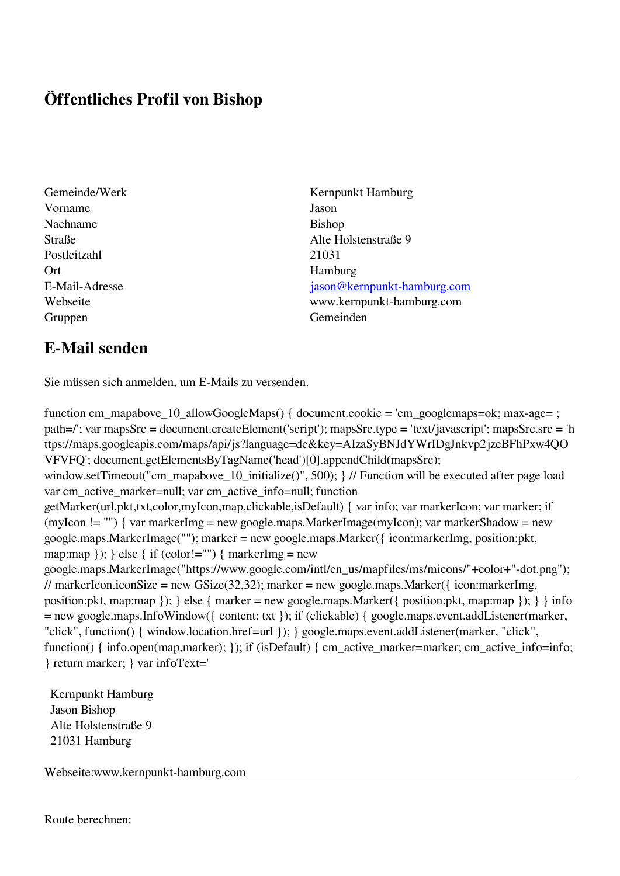## **Öffentliches Profil von Bishop**

- Vorname Jason Nachname Bishop Postleitzahl 21031 Ort Hamburg Gruppen Gemeinden Gemeinden Gemeinden Gemeinden Gemeinden Gemeinden Gemeinden Gemeinden Gemeinden Gemeinden G
- Gemeinde/Werk Kernpunkt Hamburg Straße and Alte Holstenstraße 9 E-Mail-Adresse [jason@kernpunkt-hamburg.com](mailto:jason@kernpunkt-hamburg.com) Webseite www.kernpunkt-hamburg.com

## **E-Mail senden**

Sie müssen sich anmelden, um E-Mails zu versenden.

function cm\_mapabove\_10\_allowGoogleMaps() { document.cookie = 'cm\_googlemaps=ok; max-age= ; path=/'; var mapsSrc = document.createElement('script'); mapsSrc.type = 'text/javascript'; mapsSrc.src = 'h ttps://maps.googleapis.com/maps/api/js?language=de&key=AIzaSyBNJdYWrIDgJnkvp2jzeBFhPxw4QO VFVFQ'; document.getElementsByTagName('head')[0].appendChild(mapsSrc); window.setTimeout("cm\_mapabove\_10\_initialize()", 500); } // Function will be executed after page load var cm\_active\_marker=null; var cm\_active\_info=null; function getMarker(url,pkt,txt,color,myIcon,map,clickable,isDefault) { var info; var markerIcon; var marker; if (myIcon != "") { var markerImg = new google.maps.MarkerImage(myIcon); var markerShadow = new google.maps.MarkerImage(""); marker = new google.maps.Marker({ icon:markerImg, position:pkt, map:map  $\}$ ;  $\}$  else  $\{$  if (color!="")  $\{$  markerImg = new google.maps.MarkerImage("https://www.google.com/intl/en\_us/mapfiles/ms/micons/"+color+"-dot.png"); // markerIcon.iconSize = new GSize(32,32); marker = new google.maps.Marker({ $\epsilon$  icon:markerImg, position:pkt, map:map  $\}$ ;  $\}$  else  $\{$  marker = new google.maps.Marker $(\{$  position:pkt, map:map  $\})$ ;  $\}$  info = new google.maps.InfoWindow({ content: txt }); if (clickable) { google.maps.event.addListener(marker, "click", function() { window.location.href=url }); } google.maps.event.addListener(marker, "click", function() { info.open(map,marker); }); if (isDefault) { cm\_active\_marker=marker; cm\_active\_info=info; } return marker; } var infoText='

 Kernpunkt Hamburg Jason Bishop Alte Holstenstraße 9 21031 Hamburg

Webseite:www.kernpunkt-hamburg.com